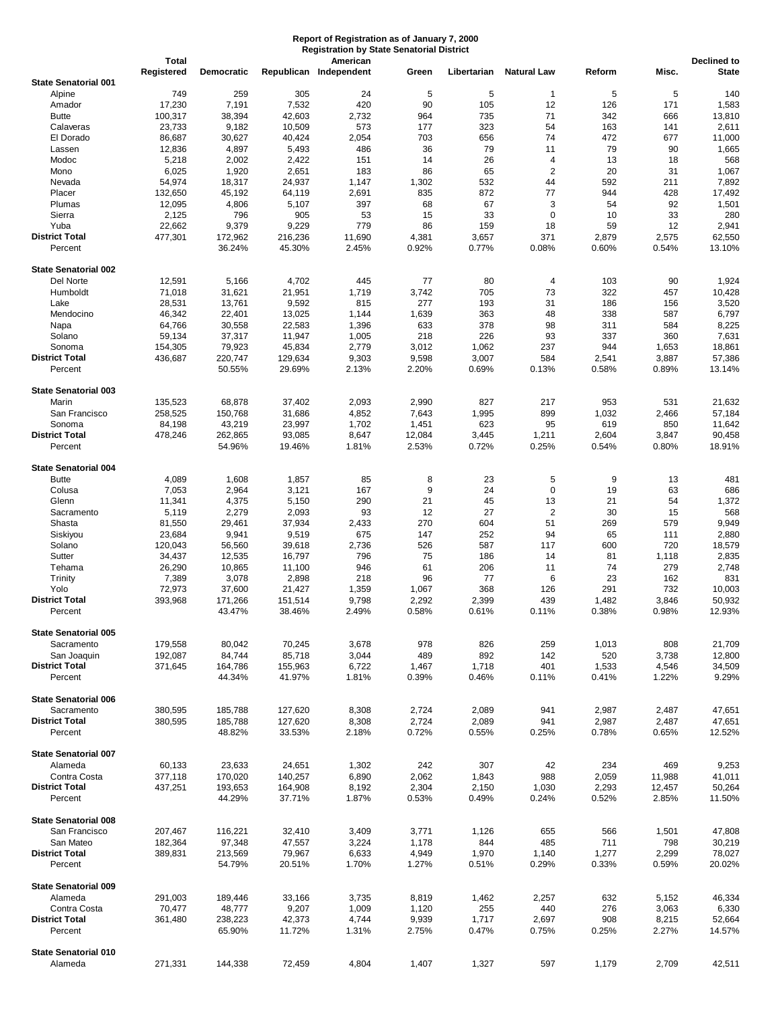## **Report of Registration as of January 7, 2000 Registration by State Senatorial District**

|                                  | <b>Total</b> |                   |                  | American               |                |                |                    |                |                | <b>Declined to</b> |
|----------------------------------|--------------|-------------------|------------------|------------------------|----------------|----------------|--------------------|----------------|----------------|--------------------|
|                                  | Registered   | <b>Democratic</b> |                  | Republican Independent | Green          | Libertarian    | <b>Natural Law</b> | Reform         | Misc.          | <b>State</b>       |
| <b>State Senatorial 001</b>      |              |                   |                  |                        |                |                |                    |                |                |                    |
| Alpine                           | 749          | 259               | 305              | 24                     | 5              | 5              | $\mathbf{1}$       | 5              | 5              | 140                |
| Amador                           | 17,230       | 7,191             | 7,532            | 420                    | 90             | 105            | 12                 | 126            | 171            | 1,583              |
| <b>Butte</b>                     | 100,317      | 38,394            | 42,603           | 2,732                  | 964            | 735            | 71                 | 342            | 666            | 13,810             |
| Calaveras                        | 23,733       | 9,182             | 10,509           | 573                    | 177            | 323            | 54                 | 163            | 141            | 2,611              |
| El Dorado                        | 86,687       | 30,627            | 40,424           | 2,054                  | 703            | 656            | 74                 | 472            | 677            | 11,000             |
| Lassen                           | 12,836       | 4,897             | 5,493            | 486                    | 36             | 79             | 11                 | 79             | 90             | 1,665              |
| Modoc                            | 5,218        | 2,002             | 2,422            | 151                    | 14             | 26             | 4                  | 13             | 18             | 568                |
| Mono                             | 6,025        | 1,920             | 2,651            | 183                    | 86             | 65             | $\overline{2}$     | 20             | 31             | 1,067              |
| Nevada                           | 54,974       | 18,317            | 24,937           | 1,147                  | 1,302          | 532            | 44                 | 592            | 211            | 7,892              |
| Placer                           | 132,650      | 45,192            | 64,119           | 2,691                  | 835            | 872            | 77                 | 944            | 428            | 17,492             |
| Plumas                           | 12,095       | 4,806             | 5,107            | 397                    | 68             | 67             | 3                  | 54             | 92             | 1,501              |
| Sierra                           | 2,125        | 796               | 905              | 53                     | 15             | 33             | 0                  | 10             | 33             | 280                |
| Yuba                             | 22,662       | 9,379             | 9,229            | 779                    | 86             | 159            | 18                 | 59             | 12             | 2,941              |
| <b>District Total</b>            | 477,301      | 172,962           | 216,236          | 11,690                 | 4,381          | 3,657          | 371                | 2,879          | 2,575          | 62,550             |
| Percent                          |              | 36.24%            | 45.30%           | 2.45%                  | 0.92%          | 0.77%          | 0.08%              | 0.60%          | 0.54%          | 13.10%             |
|                                  |              |                   |                  |                        |                |                |                    |                |                |                    |
| <b>State Senatorial 002</b>      |              |                   |                  |                        |                |                |                    |                |                |                    |
| Del Norte                        | 12,591       | 5,166             | 4,702            | 445                    | 77             | 80             | 4                  | 103            | 90             | 1,924              |
| Humboldt                         | 71,018       | 31,621            | 21,951           | 1,719                  | 3,742          | 705            | 73                 | 322            | 457            | 10,428             |
| Lake                             | 28,531       | 13,761            | 9,592            | 815                    | 277            | 193            | 31                 | 186            | 156            | 3,520              |
| Mendocino                        | 46,342       | 22,401            | 13,025           | 1,144                  | 1,639          | 363            | 48                 | 338            | 587            | 6,797              |
| Napa                             | 64,766       | 30,558            | 22,583           | 1,396                  | 633            | 378            | 98                 | 311            | 584            | 8,225              |
| Solano                           | 59,134       | 37,317            | 11,947           | 1,005                  | 218            | 226            | 93                 | 337            | 360            | 7,631              |
| Sonoma                           | 154,305      | 79,923            | 45,834           | 2,779                  | 3,012          | 1,062          | 237                | 944            | 1,653          | 18,861             |
| <b>District Total</b>            | 436,687      | 220,747           | 129,634          | 9,303                  | 9,598          | 3,007          | 584                | 2,541          | 3,887          | 57,386             |
| Percent                          |              | 50.55%            | 29.69%           | 2.13%                  | 2.20%          | 0.69%          | 0.13%              | 0.58%          | 0.89%          | 13.14%             |
|                                  |              |                   |                  |                        |                |                |                    |                |                |                    |
| <b>State Senatorial 003</b>      |              |                   |                  |                        |                |                |                    |                |                |                    |
| Marin                            | 135,523      | 68,878            | 37,402           | 2,093                  | 2,990          | 827            | 217                | 953            | 531            | 21,632             |
| San Francisco                    | 258,525      | 150,768           | 31,686           | 4,852                  | 7,643          | 1,995          | 899                | 1,032          | 2,466          | 57,184             |
| Sonoma                           | 84,198       | 43,219            | 23,997           | 1,702                  | 1,451          | 623            | 95                 | 619            | 850            | 11,642             |
| <b>District Total</b>            | 478,246      | 262,865           | 93,085           | 8,647                  | 12,084         | 3,445          | 1,211              | 2,604          | 3,847          | 90,458             |
| Percent                          |              | 54.96%            | 19.46%           | 1.81%                  | 2.53%          | 0.72%          | 0.25%              | 0.54%          | 0.80%          | 18.91%             |
|                                  |              |                   |                  |                        |                |                |                    |                |                |                    |
| <b>State Senatorial 004</b>      |              |                   |                  |                        |                |                |                    |                |                |                    |
| <b>Butte</b>                     | 4,089        | 1,608             | 1,857            | 85                     | 8              | 23             | 5                  | 9              | 13             | 481                |
| Colusa                           | 7,053        | 2,964             | 3,121            | 167                    | 9              | 24             | $\pmb{0}$          | 19             | 63             | 686                |
| Glenn                            | 11,341       | 4,375             | 5,150            | 290                    | 21             | 45             | 13                 | 21             | 54             | 1,372              |
| Sacramento                       | 5,119        | 2,279             | 2,093            | 93                     | 12             | 27             | $\overline{2}$     | 30             | 15             | 568                |
| Shasta                           | 81,550       | 29,461            | 37,934           | 2,433                  | 270            | 604            | 51                 | 269            | 579            | 9,949              |
| Siskiyou                         | 23,684       | 9,941             | 9,519            | 675                    | 147            | 252            | 94                 | 65             | 111            | 2,880              |
| Solano                           | 120,043      | 56,560            | 39,618           | 2,736                  | 526            | 587            | 117                | 600            | 720            | 18,579             |
| Sutter                           | 34,437       | 12,535            | 16,797           | 796                    | 75             | 186            | 14                 | 81             | 1,118          | 2,835              |
| Tehama                           | 26,290       | 10,865            | 11,100           | 946                    | 61             | 206            | 11                 | 74             | 279            | 2,748              |
| Trinity                          | 7,389        | 3,078             | 2,898            | 218                    | 96             | 77             | 6                  | 23             | 162            | 831                |
| Yolo                             | 72,973       | 37,600            | 21,427           | 1,359                  | 1,067          | 368            | 126                | 291            | 732            | 10,003             |
| <b>District Total</b>            | 393,968      | 171,266           | 151,514          | 9,798                  | 2,292          | 2,399          | 439                | 1,482          | 3,846          | 50,932             |
| Percent                          |              | 43.47%            | 38.46%           | 2.49%                  | 0.58%          | 0.61%          | 0.11%              | 0.38%          | 0.98%          | 12.93%             |
|                                  |              |                   |                  |                        |                |                |                    |                |                |                    |
| <b>State Senatorial 005</b>      |              |                   |                  |                        |                |                |                    |                |                |                    |
| Sacramento                       | 179,558      | 80,042            | 70,245           | 3,678                  | 978            | 826            | 259                | 1,013          | 808            | 21,709             |
| San Joaquin                      | 192,087      | 84,744            | 85,718           | 3,044                  | 489            | 892            | 142                | 520            | 3,738          | 12,800             |
| <b>District Total</b>            | 371,645      | 164,786           | 155,963          | 6,722                  | 1,467          | 1,718          | 401                | 1,533          | 4,546          | 34,509             |
| Percent                          |              | 44.34%            | 41.97%           | 1.81%                  | 0.39%          | 0.46%          | 0.11%              | 0.41%          | 1.22%          | 9.29%              |
|                                  |              |                   |                  |                        |                |                |                    |                |                |                    |
| <b>State Senatorial 006</b>      |              |                   |                  |                        |                |                |                    |                |                |                    |
| Sacramento                       | 380,595      | 185,788           | 127,620          | 8,308                  | 2,724          | 2,089          | 941                | 2,987          | 2,487          | 47,651             |
| <b>District Total</b>            | 380,595      | 185,788           | 127,620          | 8,308                  | 2,724          | 2,089          | 941                | 2,987          | 2,487          | 47,651             |
| Percent                          |              | 48.82%            | 33.53%           | 2.18%                  | 0.72%          | 0.55%          | 0.25%              | 0.78%          | 0.65%          | 12.52%             |
| <b>State Senatorial 007</b>      |              |                   |                  |                        |                |                |                    |                |                |                    |
| Alameda                          | 60,133       | 23,633            | 24,651           | 1,302                  | 242            | 307            | 42                 | 234            | 469            | 9,253              |
|                                  |              |                   |                  |                        |                |                |                    |                |                |                    |
| Contra Costa                     | 377,118      | 170,020           | 140,257          | 6,890                  | 2,062          | 1,843          | 988                | 2,059          | 11,988         | 41,011             |
| <b>District Total</b>            | 437,251      | 193,653           | 164,908          | 8,192                  | 2,304          | 2,150          | 1,030              | 2,293          | 12,457         | 50,264             |
| Percent                          |              | 44.29%            | 37.71%           | 1.87%                  | 0.53%          | 0.49%          | 0.24%              | 0.52%          | 2.85%          | 11.50%             |
| <b>State Senatorial 008</b>      |              |                   |                  |                        |                |                |                    |                |                |                    |
| San Francisco                    | 207,467      | 116,221           | 32,410           | 3,409                  | 3,771          | 1,126          | 655                | 566            | 1,501          | 47,808             |
| San Mateo                        | 182,364      | 97,348            | 47,557           | 3,224                  | 1,178          | 844            | 485                | 711            | 798            | 30,219             |
|                                  |              |                   |                  |                        |                |                |                    |                |                | 78,027             |
| <b>District Total</b><br>Percent | 389,831      | 213,569<br>54.79% | 79,967<br>20.51% | 6,633<br>1.70%         | 4,949<br>1.27% | 1,970<br>0.51% | 1,140<br>0.29%     | 1,277<br>0.33% | 2,299<br>0.59% | 20.02%             |
|                                  |              |                   |                  |                        |                |                |                    |                |                |                    |
| <b>State Senatorial 009</b>      |              |                   |                  |                        |                |                |                    |                |                |                    |
| Alameda                          | 291,003      | 189,446           | 33,166           | 3,735                  | 8,819          | 1,462          | 2,257              | 632            | 5,152          | 46,334             |
| Contra Costa                     | 70,477       | 48,777            | 9,207            | 1,009                  | 1,120          | 255            | 440                | 276            | 3,063          | 6,330              |
| <b>District Total</b>            | 361,480      | 238,223           | 42,373           | 4,744                  | 9,939          | 1,717          | 2,697              | 908            | 8,215          | 52,664             |
| Percent                          |              | 65.90%            | 11.72%           | 1.31%                  | 2.75%          | 0.47%          | 0.75%              | 0.25%          | 2.27%          | 14.57%             |
|                                  |              |                   |                  |                        |                |                |                    |                |                |                    |
| <b>State Senatorial 010</b>      |              |                   |                  |                        |                |                |                    |                |                |                    |
| Alameda                          | 271,331      | 144,338           | 72,459           | 4,804                  | 1,407          | 1,327          | 597                | 1,179          | 2,709          | 42,511             |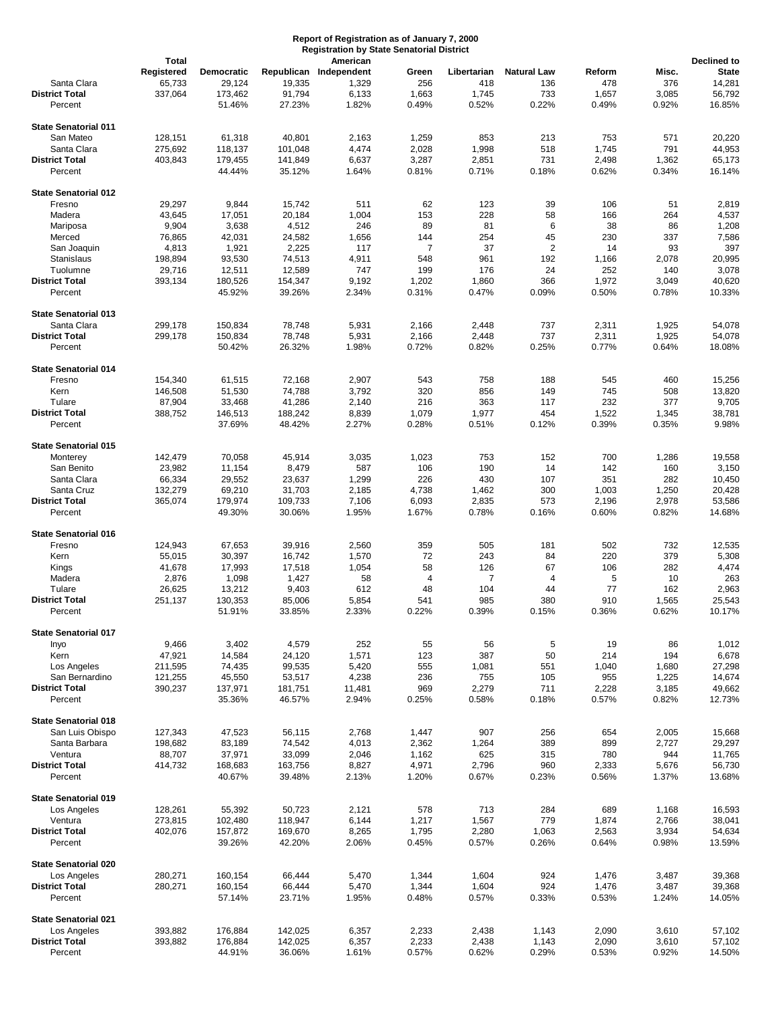## **Report of Registration as of January 7, 2000 Registration by State Senatorial District**

|                             | <b>Total</b> |            |         | American               |       |             |                    |        |           | Declined to    |
|-----------------------------|--------------|------------|---------|------------------------|-------|-------------|--------------------|--------|-----------|----------------|
|                             | Registered   | Democratic |         | Republican Independent | Green | Libertarian | <b>Natural Law</b> | Reform | Misc.     | <b>State</b>   |
| Santa Clara                 | 65,733       | 29,124     | 19,335  | 1,329                  | 256   | 418         | 136                | 478    | 376       | 14,281         |
| <b>District Total</b>       | 337,064      | 173,462    | 91,794  | 6,133                  | 1,663 | 1,745       | 733                | 1,657  | 3,085     | 56,792         |
| Percent                     |              | 51.46%     | 27.23%  | 1.82%                  | 0.49% | 0.52%       | 0.22%              | 0.49%  | 0.92%     | 16.85%         |
|                             |              |            |         |                        |       |             |                    |        |           |                |
| <b>State Senatorial 011</b> |              |            |         |                        |       |             |                    |        |           |                |
| San Mateo                   | 128,151      | 61,318     | 40,801  | 2,163                  | 1,259 | 853         | 213                | 753    | 571       | 20,220         |
| Santa Clara                 | 275,692      | 118,137    | 101,048 | 4,474                  | 2,028 | 1,998       | 518                | 1,745  | 791       | 44,953         |
| <b>District Total</b>       | 403,843      | 179,455    | 141,849 | 6,637                  | 3,287 | 2,851       | 731                | 2,498  | 1,362     | 65,173         |
| Percent                     |              | 44.44%     | 35.12%  | 1.64%                  | 0.81% | 0.71%       | 0.18%              | 0.62%  | 0.34%     | 16.14%         |
|                             |              |            |         |                        |       |             |                    |        |           |                |
| <b>State Senatorial 012</b> |              |            |         |                        |       |             |                    |        |           |                |
| Fresno                      | 29,297       | 9,844      | 15,742  | 511                    | 62    | 123         | 39                 | 106    | 51        | 2,819          |
| Madera                      | 43,645       | 17,051     | 20,184  | 1,004                  | 153   | 228         | 58                 | 166    | 264       | 4,537          |
| Mariposa                    | 9,904        | 3,638      | 4,512   | 246                    | 89    | 81          | 6                  | 38     | 86        | 1,208          |
| Merced                      | 76,865       | 42,031     | 24,582  | 1,656                  | 144   | 254         | 45                 | 230    | 337       | 7,586          |
| San Joaquin                 | 4,813        | 1,921      | 2,225   | 117                    | 7     | 37          | $\overline{2}$     | 14     | 93        | 397            |
| Stanislaus                  | 198,894      | 93,530     | 74,513  | 4,911                  | 548   | 961         | 192                | 1,166  | 2,078     | 20,995         |
| Tuolumne                    | 29,716       | 12,511     | 12,589  | 747                    | 199   | 176         | 24                 | 252    | 140       | 3,078          |
| <b>District Total</b>       | 393,134      | 180,526    | 154,347 | 9,192                  | 1,202 | 1,860       | 366                | 1,972  | 3,049     | 40,620         |
| Percent                     |              | 45.92%     | 39.26%  | 2.34%                  | 0.31% | 0.47%       | 0.09%              | 0.50%  | 0.78%     | 10.33%         |
|                             |              |            |         |                        |       |             |                    |        |           |                |
| <b>State Senatorial 013</b> |              |            |         |                        |       |             |                    |        |           |                |
| Santa Clara                 | 299,178      | 150,834    | 78,748  | 5,931                  | 2,166 | 2,448       | 737                | 2,311  | 1,925     | 54,078         |
| <b>District Total</b>       | 299,178      | 150,834    | 78,748  | 5,931                  | 2,166 | 2,448       | 737                | 2,311  | 1,925     | 54,078         |
| Percent                     |              | 50.42%     | 26.32%  | 1.98%                  | 0.72% | 0.82%       | 0.25%              | 0.77%  | 0.64%     | 18.08%         |
|                             |              |            |         |                        |       |             |                    |        |           |                |
| <b>State Senatorial 014</b> |              |            |         |                        |       |             |                    |        |           |                |
| Fresno                      | 154,340      | 61,515     | 72,168  | 2,907                  | 543   | 758         | 188                | 545    | 460       | 15,256         |
| Kern                        | 146,508      | 51,530     | 74,788  | 3,792                  | 320   | 856         | 149                | 745    | 508       | 13,820         |
| Tulare                      | 87,904       | 33,468     | 41,286  | 2,140                  | 216   | 363         | 117                | 232    | 377       | 9,705          |
| <b>District Total</b>       | 388,752      | 146,513    | 188,242 | 8,839                  | 1,079 | 1,977       | 454                | 1,522  | 1,345     | 38,781         |
| Percent                     |              | 37.69%     | 48.42%  | 2.27%                  | 0.28% | 0.51%       | 0.12%              | 0.39%  | 0.35%     | 9.98%          |
|                             |              |            |         |                        |       |             |                    |        |           |                |
| <b>State Senatorial 015</b> |              |            |         |                        |       |             |                    |        |           |                |
| Monterey                    | 142,479      | 70,058     | 45,914  | 3,035                  | 1,023 | 753         | 152                | 700    | 1,286     | 19,558         |
| San Benito                  | 23,982       | 11,154     | 8,479   | 587                    | 106   | 190         | 14                 | 142    | 160       | 3,150          |
| Santa Clara                 | 66,334       | 29,552     | 23,637  | 1,299                  | 226   | 430         | 107                | 351    | 282       | 10,450         |
| Santa Cruz                  | 132,279      | 69,210     | 31,703  | 2,185                  | 4,738 | 1,462       | 300                | 1,003  | 1,250     | 20,428         |
| <b>District Total</b>       | 365,074      | 179,974    | 109,733 | 7,106                  | 6,093 | 2,835       | 573                | 2,196  | 2,978     | 53,586         |
| Percent                     |              | 49.30%     | 30.06%  | 1.95%                  | 1.67% | 0.78%       | 0.16%              | 0.60%  | 0.82%     | 14.68%         |
|                             |              |            |         |                        |       |             |                    |        |           |                |
| <b>State Senatorial 016</b> |              |            |         |                        |       |             |                    |        |           |                |
| Fresno                      | 124,943      | 67,653     | 39,916  | 2,560                  | 359   | 505         | 181                | 502    | 732       | 12,535         |
| Kern                        | 55,015       | 30,397     | 16,742  | 1,570                  | 72    | 243         | 84                 | 220    | 379       | 5,308          |
| Kings                       | 41,678       | 17,993     | 17,518  | 1,054                  | 58    | 126         | 67                 | 106    | 282       | 4,474          |
| Madera                      | 2,876        | 1,098      | 1,427   | 58                     | 4     | 7           | 4                  | 5      | 10        | 263            |
| Tulare                      | 26,625       | 13,212     | 9,403   | 612                    | 48    | 104         | 44                 | 77     | 162       | 2,963          |
| <b>District Total</b>       | 251,137      | 130,353    | 85,006  | 5,854                  | 541   | 985         | 380                | 910    | 1,565     | 25,543         |
| Percent                     |              | 51.91%     | 33.85%  | 2.33%                  | 0.22% | 0.39%       | 0.15%              | 0.36%  | 0.62%     | 10.17%         |
|                             |              |            |         |                        |       |             |                    |        |           |                |
| <b>State Senatorial 017</b> |              |            |         |                        |       |             |                    |        |           |                |
| Inyo                        | 9,466        | 3,402      | 4,579   | 252                    | 55    |             | 5                  | 19     |           |                |
| Kern                        | 47,921       | 14,584     | 24,120  | 1,571                  | 123   | 56<br>387   | 50                 | 214    | 86<br>194 | 1,012<br>6,678 |
| Los Angeles                 | 211,595      | 74,435     | 99,535  | 5,420                  | 555   | 1,081       | 551                | 1,040  | 1,680     | 27,298         |
| San Bernardino              | 121,255      | 45,550     | 53,517  | 4,238                  | 236   | 755         | 105                | 955    | 1,225     | 14,674         |
| <b>District Total</b>       | 390,237      | 137,971    | 181,751 | 11,481                 | 969   | 2,279       | 711                | 2,228  | 3,185     | 49,662         |
| Percent                     |              | 35.36%     | 46.57%  | 2.94%                  | 0.25% | 0.58%       | 0.18%              | 0.57%  | 0.82%     | 12.73%         |
|                             |              |            |         |                        |       |             |                    |        |           |                |
| <b>State Senatorial 018</b> |              |            |         |                        |       |             |                    |        |           |                |
| San Luis Obispo             | 127,343      | 47,523     | 56,115  | 2,768                  | 1,447 | 907         | 256                | 654    | 2,005     | 15,668         |
| Santa Barbara               |              | 83,189     | 74,542  | 4,013                  |       | 1,264       | 389                | 899    |           | 29,297         |
| Ventura                     | 198,682      |            |         |                        | 2,362 |             |                    |        | 2,727     |                |
| <b>District Total</b>       | 88,707       | 37,971     | 33,099  | 2,046                  | 1,162 | 625         | 315                | 780    | 944       | 11,765         |
|                             | 414,732      | 168,683    | 163,756 | 8,827                  | 4,971 | 2,796       | 960                | 2,333  | 5,676     | 56,730         |
| Percent                     |              | 40.67%     | 39.48%  | 2.13%                  | 1.20% | 0.67%       | 0.23%              | 0.56%  | 1.37%     | 13.68%         |
|                             |              |            |         |                        |       |             |                    |        |           |                |
| <b>State Senatorial 019</b> |              |            |         |                        |       |             |                    |        |           |                |
| Los Angeles                 | 128,261      | 55,392     | 50,723  | 2,121                  | 578   | 713         | 284                | 689    | 1,168     | 16,593         |
| Ventura                     | 273,815      | 102,480    | 118,947 | 6,144                  | 1,217 | 1,567       | 779                | 1,874  | 2,766     | 38,041         |
| <b>District Total</b>       | 402,076      | 157,872    | 169,670 | 8,265                  | 1,795 | 2,280       | 1,063              | 2,563  | 3,934     | 54,634         |
| Percent                     |              | 39.26%     | 42.20%  | 2.06%                  | 0.45% | 0.57%       | 0.26%              | 0.64%  | 0.98%     | 13.59%         |
|                             |              |            |         |                        |       |             |                    |        |           |                |
| <b>State Senatorial 020</b> |              |            |         |                        |       |             |                    |        |           |                |
| Los Angeles                 | 280,271      | 160,154    | 66,444  | 5,470                  | 1,344 | 1,604       | 924                | 1,476  | 3,487     | 39,368         |
| <b>District Total</b>       | 280,271      | 160,154    | 66,444  | 5,470                  | 1,344 | 1,604       | 924                | 1,476  | 3,487     | 39,368         |
| Percent                     |              | 57.14%     | 23.71%  | 1.95%                  | 0.48% | 0.57%       | 0.33%              | 0.53%  | 1.24%     | 14.05%         |
|                             |              |            |         |                        |       |             |                    |        |           |                |
| <b>State Senatorial 021</b> |              |            |         |                        |       |             |                    |        |           |                |
| Los Angeles                 | 393,882      | 176,884    | 142,025 | 6,357                  | 2,233 | 2,438       | 1,143              | 2,090  | 3,610     | 57,102         |
| <b>District Total</b>       | 393,882      | 176,884    | 142,025 | 6,357                  | 2,233 | 2,438       | 1,143              | 2,090  | 3,610     | 57,102         |
| Percent                     |              | 44.91%     | 36.06%  | 1.61%                  | 0.57% | 0.62%       | 0.29%              | 0.53%  | 0.92%     | 14.50%         |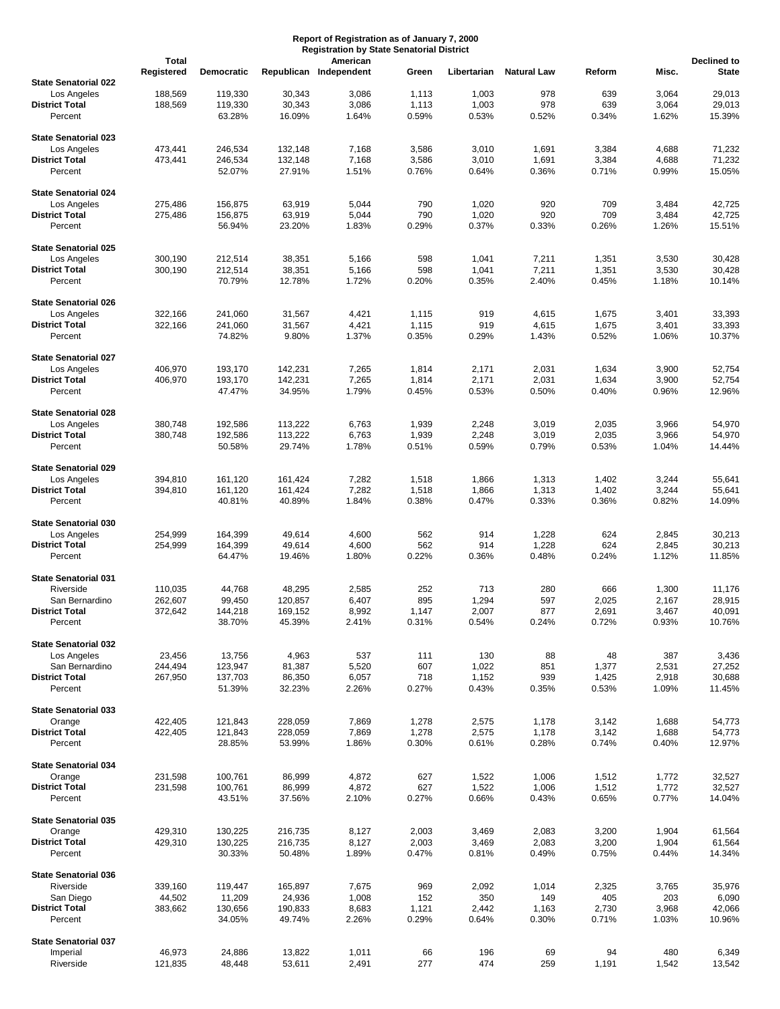## **Report of Registration as of January 7, 2000 Registration by State Senatorial District**

|                                  | <b>Total</b> |            |         | American               |       |             |                    |        |       | <b>Declined to</b> |
|----------------------------------|--------------|------------|---------|------------------------|-------|-------------|--------------------|--------|-------|--------------------|
|                                  | Registered   | Democratic |         | Republican Independent | Green | Libertarian | <b>Natural Law</b> | Reform | Misc. | <b>State</b>       |
| <b>State Senatorial 022</b>      |              |            |         |                        |       |             |                    |        |       |                    |
| Los Angeles                      | 188,569      | 119,330    | 30,343  | 3,086                  | 1,113 | 1,003       | 978                | 639    | 3,064 | 29,013             |
| <b>District Total</b>            | 188,569      | 119,330    | 30,343  | 3,086                  | 1,113 | 1,003       | 978                | 639    | 3,064 | 29,013             |
| Percent                          |              | 63.28%     | 16.09%  | 1.64%                  | 0.59% | 0.53%       | 0.52%              | 0.34%  | 1.62% | 15.39%             |
|                                  |              |            |         |                        |       |             |                    |        |       |                    |
| <b>State Senatorial 023</b>      |              |            |         |                        |       |             |                    |        |       |                    |
| Los Angeles                      | 473,441      | 246,534    | 132,148 | 7,168                  | 3,586 | 3,010       | 1,691              | 3,384  | 4,688 | 71,232             |
| <b>District Total</b>            | 473,441      | 246,534    | 132,148 | 7,168                  | 3,586 | 3,010       | 1,691              | 3,384  | 4,688 | 71,232             |
| Percent                          |              | 52.07%     | 27.91%  | 1.51%                  | 0.76% | 0.64%       | 0.36%              | 0.71%  | 0.99% | 15.05%             |
| <b>State Senatorial 024</b>      |              |            |         |                        |       |             |                    |        |       |                    |
| Los Angeles                      | 275,486      | 156,875    | 63,919  | 5,044                  | 790   | 1,020       | 920                | 709    | 3,484 | 42,725             |
| <b>District Total</b>            | 275,486      | 156,875    | 63,919  | 5,044                  | 790   | 1,020       | 920                | 709    | 3,484 | 42,725             |
| Percent                          |              | 56.94%     | 23.20%  | 1.83%                  | 0.29% | 0.37%       | 0.33%              | 0.26%  | 1.26% | 15.51%             |
|                                  |              |            |         |                        |       |             |                    |        |       |                    |
| <b>State Senatorial 025</b>      |              |            |         |                        |       |             |                    |        |       |                    |
| Los Angeles                      | 300,190      | 212,514    | 38,351  | 5,166                  | 598   | 1,041       | 7,211              | 1,351  | 3,530 | 30,428             |
| <b>District Total</b>            | 300,190      | 212,514    | 38,351  | 5,166                  | 598   | 1,041       | 7,211              | 1,351  | 3,530 | 30,428             |
| Percent                          |              | 70.79%     | 12.78%  | 1.72%                  | 0.20% | 0.35%       | 2.40%              | 0.45%  | 1.18% | 10.14%             |
|                                  |              |            |         |                        |       |             |                    |        |       |                    |
| <b>State Senatorial 026</b>      |              |            |         |                        |       |             |                    |        |       |                    |
| Los Angeles                      | 322,166      | 241,060    | 31,567  | 4,421                  | 1,115 | 919         | 4,615              | 1,675  | 3,401 | 33,393             |
| <b>District Total</b>            | 322,166      | 241,060    | 31,567  | 4,421                  | 1,115 | 919         | 4,615              | 1,675  | 3,401 | 33,393             |
| Percent                          |              | 74.82%     | 9.80%   | 1.37%                  | 0.35% | 0.29%       | 1.43%              | 0.52%  | 1.06% | 10.37%             |
| <b>State Senatorial 027</b>      |              |            |         |                        |       |             |                    |        |       |                    |
| Los Angeles                      | 406,970      | 193,170    | 142,231 | 7,265                  | 1,814 | 2,171       | 2,031              | 1,634  | 3,900 | 52,754             |
| <b>District Total</b>            | 406,970      | 193,170    | 142,231 | 7,265                  | 1,814 | 2,171       | 2,031              | 1,634  | 3,900 | 52,754             |
| Percent                          |              | 47.47%     | 34.95%  | 1.79%                  | 0.45% | 0.53%       | 0.50%              | 0.40%  | 0.96% | 12.96%             |
|                                  |              |            |         |                        |       |             |                    |        |       |                    |
| <b>State Senatorial 028</b>      |              |            |         |                        |       |             |                    |        |       |                    |
| Los Angeles                      | 380,748      | 192,586    | 113,222 | 6,763                  | 1,939 | 2,248       | 3,019              | 2,035  | 3,966 | 54,970             |
| <b>District Total</b>            | 380,748      | 192,586    | 113,222 | 6,763                  | 1,939 | 2,248       | 3,019              | 2,035  | 3,966 | 54,970             |
| Percent                          |              | 50.58%     | 29.74%  | 1.78%                  | 0.51% | 0.59%       | 0.79%              | 0.53%  | 1.04% | 14.44%             |
|                                  |              |            |         |                        |       |             |                    |        |       |                    |
| <b>State Senatorial 029</b>      |              |            |         |                        |       |             |                    |        |       |                    |
| Los Angeles                      | 394,810      | 161,120    | 161,424 | 7,282                  | 1,518 | 1,866       | 1,313              | 1,402  | 3,244 | 55,641             |
| <b>District Total</b>            | 394,810      | 161,120    | 161,424 | 7,282                  | 1,518 | 1,866       | 1,313              | 1,402  | 3,244 | 55,641             |
| Percent                          |              | 40.81%     | 40.89%  | 1.84%                  | 0.38% | 0.47%       | 0.33%              | 0.36%  | 0.82% | 14.09%             |
| <b>State Senatorial 030</b>      |              |            |         |                        |       |             |                    |        |       |                    |
| Los Angeles                      | 254,999      | 164,399    | 49,614  | 4,600                  | 562   | 914         | 1,228              | 624    | 2,845 | 30,213             |
| <b>District Total</b>            | 254,999      | 164,399    | 49,614  | 4,600                  | 562   | 914         | 1,228              | 624    | 2,845 | 30,213             |
| Percent                          |              | 64.47%     | 19.46%  | 1.80%                  | 0.22% | 0.36%       | 0.48%              | 0.24%  | 1.12% | 11.85%             |
|                                  |              |            |         |                        |       |             |                    |        |       |                    |
| <b>State Senatorial 031</b>      |              |            |         |                        |       |             |                    |        |       |                    |
| Riverside                        | 110,035      | 44,768     | 48,295  | 2,585                  | 252   | 713         | 280                | 666    | 1,300 | 11,176             |
| San Bernardino                   | 262,607      | 99,450     | 120,857 | 6,407                  | 895   | 1,294       | 597                | 2,025  | 2,167 | 28,915             |
| <b>District Total</b>            | 372,642      | 144,218    | 169,152 | 8,992                  | 1,147 | 2,007       | 877                | 2,691  | 3,467 | 40,091             |
| Percent                          |              | 38.70%     | 45.39%  | 2.41%                  | 0.31% | 0.54%       | 0.24%              | 0.72%  | 0.93% | 10.76%             |
|                                  |              |            |         |                        |       |             |                    |        |       |                    |
| <b>State Senatorial 032</b>      |              |            |         |                        |       |             |                    |        |       |                    |
| Los Angeles                      | 23,456       | 13,756     | 4,963   | 537                    | 111   | 130         | 88                 | 48     | 387   | 3,436              |
| San Bernardino                   | 244,494      | 123,947    | 81,387  | 5,520                  | 607   | 1,022       | 851                | 1,377  | 2,531 | 27,252             |
| <b>District Total</b>            | 267,950      | 137,703    | 86,350  | 6,057                  | 718   | 1,152       | 939                | 1,425  | 2,918 | 30,688             |
| Percent                          |              | 51.39%     | 32.23%  | 2.26%                  | 0.27% | 0.43%       | 0.35%              | 0.53%  | 1.09% | 11.45%             |
| <b>State Senatorial 033</b>      |              |            |         |                        |       |             |                    |        |       |                    |
| Orange                           | 422,405      | 121,843    | 228,059 | 7,869                  | 1,278 | 2,575       | 1,178              | 3,142  | 1,688 | 54,773             |
| <b>District Total</b>            | 422,405      | 121,843    | 228,059 | 7,869                  | 1,278 | 2,575       | 1,178              | 3,142  | 1,688 | 54,773             |
| Percent                          |              | 28.85%     | 53.99%  | 1.86%                  | 0.30% | 0.61%       | 0.28%              | 0.74%  | 0.40% | 12.97%             |
|                                  |              |            |         |                        |       |             |                    |        |       |                    |
| <b>State Senatorial 034</b>      |              |            |         |                        |       |             |                    |        |       |                    |
| Orange                           | 231,598      | 100,761    | 86,999  | 4,872                  | 627   | 1,522       | 1,006              | 1,512  | 1,772 | 32,527             |
| <b>District Total</b>            | 231,598      | 100,761    | 86,999  | 4,872                  | 627   | 1,522       | 1,006              | 1,512  | 1,772 | 32,527             |
| Percent                          |              | 43.51%     | 37.56%  | 2.10%                  | 0.27% | 0.66%       | 0.43%              | 0.65%  | 0.77% | 14.04%             |
|                                  |              |            |         |                        |       |             |                    |        |       |                    |
| <b>State Senatorial 035</b>      |              |            |         |                        |       |             |                    |        |       |                    |
| Orange                           | 429,310      | 130,225    | 216,735 | 8,127                  | 2,003 | 3,469       | 2,083              | 3,200  | 1,904 | 61,564             |
| <b>District Total</b><br>Percent | 429,310      | 130,225    | 216,735 | 8,127                  | 2,003 | 3,469       | 2,083              | 3,200  | 1,904 | 61,564             |
|                                  |              | 30.33%     | 50.48%  | 1.89%                  | 0.47% | 0.81%       | 0.49%              | 0.75%  | 0.44% | 14.34%             |
| <b>State Senatorial 036</b>      |              |            |         |                        |       |             |                    |        |       |                    |
| Riverside                        | 339,160      | 119,447    | 165,897 | 7,675                  | 969   | 2,092       | 1,014              | 2,325  | 3,765 | 35,976             |
| San Diego                        | 44,502       | 11,209     | 24,936  | 1,008                  | 152   | 350         | 149                | 405    | 203   | 6,090              |
| <b>District Total</b>            | 383,662      | 130,656    | 190,833 | 8,683                  | 1,121 | 2,442       | 1,163              | 2,730  | 3,968 | 42,066             |
| Percent                          |              | 34.05%     | 49.74%  | 2.26%                  | 0.29% | 0.64%       | 0.30%              | 0.71%  | 1.03% | 10.96%             |
|                                  |              |            |         |                        |       |             |                    |        |       |                    |
| <b>State Senatorial 037</b>      |              |            |         |                        |       |             |                    |        |       |                    |
| Imperial                         | 46,973       | 24,886     | 13,822  | 1,011                  | 66    | 196         | 69                 | 94     | 480   | 6,349              |
| Riverside                        | 121,835      | 48,448     | 53,611  | 2,491                  | 277   | 474         | 259                | 1,191  | 1,542 | 13,542             |